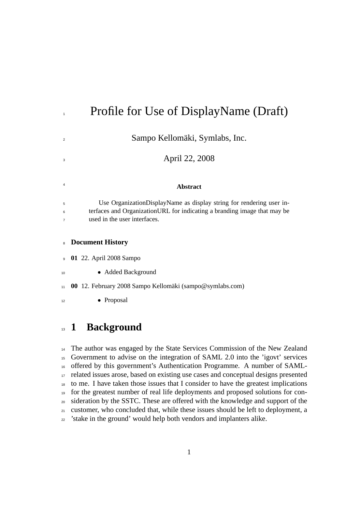|                          | Profile for Use of DisplayName (Draft)                                                                                                                                            |
|--------------------------|-----------------------------------------------------------------------------------------------------------------------------------------------------------------------------------|
| $\overline{2}$           | Sampo Kellomäki, Symlabs, Inc.                                                                                                                                                    |
| 3                        | April 22, 2008                                                                                                                                                                    |
| $\overline{4}$           | <b>Abstract</b>                                                                                                                                                                   |
| 5<br>6<br>$\overline{7}$ | Use OrganizationDisplayName as display string for rendering user in-<br>terfaces and Organization URL for indicating a branding image that may be<br>used in the user interfaces. |
|                          |                                                                                                                                                                                   |

#### **Document History**

**01** 22. April 2008 Sampo

10 • Added Background

- **00** 12. February 2008 Sampo Kellomäki (sampo@symlabs.com)
- Proposal

### **1 Background**

 The author was engaged by the State Services Commission of the New Zealand Government to advise on the integration of SAML 2.0 into the 'igovt' services offered by this government's Authentication Programme. A number of SAML- related issues arose, based on existing use cases and conceptual designs presented to me. I have taken those issues that I consider to have the greatest implications for the greatest number of real life deployments and proposed solutions for con- sideration by the SSTC. These are offered with the knowledge and support of the customer, who concluded that, while these issues should be left to deployment, a 'stake in the ground' would help both vendors and implanters alike.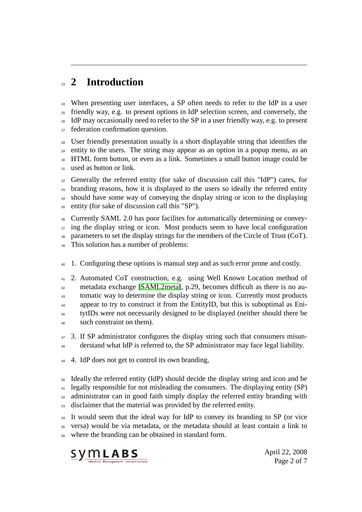## **2 Introduction**

 When presenting user interfaces, a SP often needs to refer to the IdP in a user friendly way, e.g. to present options in IdP selection screen, and conversely, the <sup>26</sup> IdP may occasionally need to refer to the SP in a user friendly way, e.g. to present federation confirmation question.

 User friendly presentation usually is a short displayable string that identifies the entity to the users. The string may appear as an option in a popup menu, as an HTML form button, or even as a link. Sometimes a small button image could be 31 used as button or link.

 Generally the referred entity (for sake of discussion call this "IdP") cares, for 33 branding reasons, how it is displayed to the users so ideally the referred entity <sup>34</sup> should have some way of conveying the display string or icon to the displaying entity (for sake of discussion call this "SP").

 Currently SAML 2.0 has poor facilites for automatically determining or convey-<sup>37</sup> ing the display string or icon. Most products seem to have local configuration parameters to set the display strings for the members of the Circle of Trust (CoT). This solution has a number of problems:

- 1. Configuring these options is manual step and as such error prone and costly.
- 2. Automated CoT construction, e.g. using Well Known Location method of metadata exchange [\[SAML2meta\]](#page-6-0), p.29, becomes difficult as there is no au-<sup>43</sup> tomatic way to determine the display string or icon. Currently most products appear to try to construct it from the EntityID, but this is suboptimal as Eni- tytIDs were not necessarily designed to be displayed (neither should there be such constraint on them).
- 3. If SP administrator configures the display string such that consumers misun-derstand what IdP is referred to, the SP administrator may face legal liability.
- 4. IdP does not get to control its own branding,
- Ideally the referred entity (IdP) should decide the display string and icon and be legally responsible for not misleading the consumers. The displaying entity (SP) administrator can in good faith simply display the referred entity branding with disclaimer that the material was provided by the referred entity.

It would seem that the ideal way for IdP to convey its branding to SP (or vice versa) would be via metadata, or the metadata should at least contain a link to where the branding can be obtained in standard form.



April 22, 2008 Page 2 of 7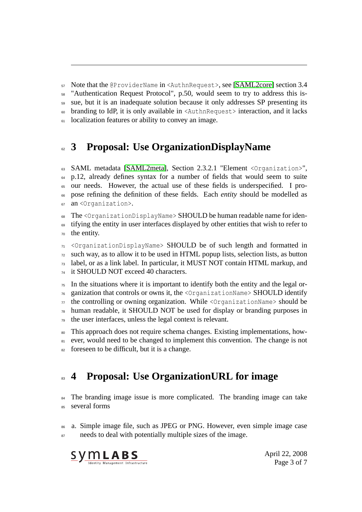Note that the @ProviderName in <AuthnRequest>, see [\[SAML2core\]](#page-6-1) section 3.4

"Authentication Request Protocol", p.50, would seem to try to address this is-

sue, but it is an inadequate solution because it only addresses SP presenting its

branding to IdP, it is only available in <AuthnRequest> interaction, and it lacks

<sup>61</sup> localization features or ability to convey an image.

## **3 Proposal: Use OrganizationDisplayName**

 SAML metadata [\[SAML2meta\]](#page-6-0), Section 2.3.2.1 "Element <Organization>", p.12, already defines syntax for a number of fields that would seem to suite our needs. However, the actual use of these fields is underspecified. I pro- pose refining the definition of these fields. Each *entity* should be modelled as an <Organization>.

The <OrganizationDisplayName> SHOULD be human readable name for identifying the entity in user interfaces displayed by other entities that wish to refer to the entity.

 <OrganizationDisplayName> SHOULD be of such length and formatted in such way, as to allow it to be used in HTML popup lists, selection lists, as button label, or as a link label. In particular, it MUST NOT contain HTML markup, and <sup>74</sup> it SHOULD NOT exceed 40 characters.

In the situations where it is important to identify both the entity and the legal or- ganization that controls or owns it, the <OrganizationName> SHOULD identify  $\pi$  the controlling or owning organization. While <OrganizationName> should be human readable, it SHOULD NOT be used for display or branding purposes in the user interfaces, unless the legal context is relevant.

 This approach does not require schema changes. Existing implementations, how-81 ever, would need to be changed to implement this convention. The change is not  $\frac{1}{82}$  foreseen to be difficult, but it is a change.

# **4 Proposal: Use OrganizationURL for image**

 $_{84}$  The branding image issue is more complicated. The branding image can take several forms

 a. Simple image file, such as JPEG or PNG. However, even simple image case <sup>87</sup> needs to deal with potentially multiple sizes of the image.



April 22, 2008 Page 3 of 7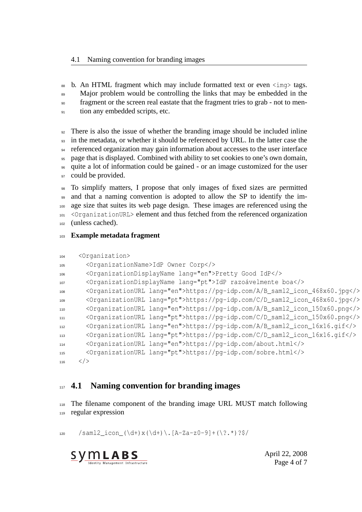88 b. An HTML fragment which may include formatted text or even  $\langle \text{im} \varphi \rangle$  tags.

89 Major problem would be controlling the links that may be embedded in the

fragment or the screen real eastate that the fragment tries to grab - not to men-

<sup>91</sup> tion any embedded scripts, etc.

 There is also the issue of whether the branding image should be included inline in the metadata, or whether it should be referenced by URL. In the latter case the referenced organization may gain information about accesses to the user interface page that is displayed. Combined with ability to set cookies to one's own domain, quite a lot of information could be gained - or an image customized for the user 97 could be provided.

 To simplify matters, I propose that only images of fixed sizes are permitted and that a naming convention is adopted to allow the SP to identify the im- age size that suites its web page design. These images are referenced using the <OrganizationURL> element and thus fetched from the referenced organization (unless cached).

**Example metadata fragment**

```
104 <Organization>
105 <OrganizationName>IdP Owner Corp</>
106 <OrganizationDisplayName lang="en">Pretty Good IdP</>
107 <OrganizationDisplayName lang="pt">IdP razoávelmente boa</>
108 <OrganizationURL lang="en">https://pg-idp.com/A/B_saml2_icon_468x60.jpg</>
109 <OrganizationURL lang="pt">https://pg-idp.com/C/D_saml2_icon_468x60.jpg</>
110 <OrganizationURL lang="en">https://pg-idp.com/A/B_saml2_icon_150x60.png</>
111 <OrganizationURL lang="pt">https://pg-idp.com/C/D_saml2_icon_150x60.png</>
112 <OrganizationURL lang="en">https://pg-idp.com/A/B_saml2_icon_16x16.gif</>
113 <OrganizationURL lang="pt">https://pg-idp.com/C/D_saml2_icon_16x16.gif</>
114 <OrganizationURL lang="en">https://pg-idp.com/about.html</>
115 <OrganizationURL lang="pt">https://pg-idp.com/sobre.html</>
116 </>
```
#### **4.1 Naming convention for branding images**

 The filename component of the branding image URL MUST match following regular expression

120 /saml2\_icon\_(\d+)x(\d+)\.[A-Za-z0-9]+(\?.\*)?\$/



April 22, 2008 Page 4 of 7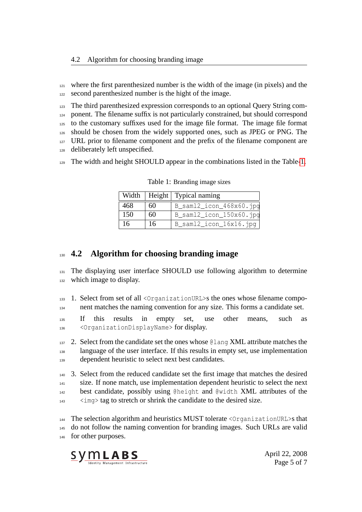where the first parenthesized number is the width of the image (in pixels) and the second parenthesized number is the hight of the image.

 The third parenthesized expression corresponds to an optional Query String com- ponent. The filename suffix is not particularly constrained, but should correspond to the customary suffixes used for the image file format. The image file format should be chosen from the widely supported ones, such as JPEG or PNG. The <sup>127</sup> URL prior to filename component and the prefix of the filename component are deliberately left unspecified.

The width and height SHOULD appear in the combinations listed in the Table[-1.](#page-4-0)

|     |    | Width   Height   Typical naming |
|-----|----|---------------------------------|
| 468 | 60 | $B_sam12\_icon_468x60.jpg$      |
| 150 | 60 | $B_sam12\_icon_150x60.jpg$      |
| 16  | 16 | $B_sam12\_icon_16x16.jpg$       |

<span id="page-4-0"></span>Table 1: Branding image sizes

#### **4.2 Algorithm for choosing branding image**

 The displaying user interface SHOULD use following algorithm to determine which image to display.

 1. Select from set of all <OrganizationURL>s the ones whose filename compo-nent matches the naming convention for any size. This forms a candidate set.

 If this results in empty set, use other means, such as <OrganizationDisplayName> for display.

 2. Select from the candidate set the ones whose @lang XML attribute matches the language of the user interface. If this results in empty set, use implementation 139 dependent heuristic to select next best candidates.

 3. Select from the reduced candidate set the first image that matches the desired size. If none match, use implementation dependent heuristic to select the next best candidate, possibly using @height and @width XML attributes of the <img> tag to stretch or shrink the candidate to the desired size.

 The selection algorithm and heuristics MUST tolerate <OrganizationURL>s that do not follow the naming convention for branding images. Such URLs are valid for other purposes.



April 22, 2008 Page 5 of 7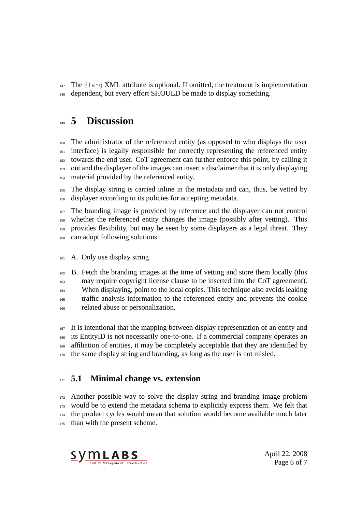The @lang XML attribute is optional. If omitted, the treatment is implementation dependent, but every effort SHOULD be made to display something.

### **5 Discussion**

 The administrator of the referenced entity (as opposed to who displays the user interface) is legally responsible for correctly representing the referenced entity towards the end user. CoT agreement can further enforce this point, by calling it out and the displayer of the images can insert a disclaimer that it is only displaying material provided by the referenced entity.

 The display string is carried inline in the metadata and can, thus, be vetted by displayer according to its policies for accepting metadata.

 The branding image is provided by reference and the displayer can not control whether the referenced entity changes the image (possibly after vetting). This provides flexibility, but may be seen by some displayers as a legal threat. They can adopt following solutions:

A. Only use display string

 B. Fetch the branding images at the time of vetting and store them locally (this may require copyright license clause to be inserted into the CoT agreement). When displaying, point to the local copies. This technique also avoids leaking traffic analysis information to the referenced entity and prevents the cookie related abuse or personalization.

 It is intentional that the mapping between display representation of an entity and its EntityID is not necessarily one-to-one. If a commercial company operates an 169 affiliation of entities, it may be completely acceptable that they are identified by the same display string and branding, as long as the user is not misled.

#### **5.1 Minimal change vs. extension**

 Another possible way to solve the display string and branding image problem would be to extend the metadata schema to explicitly express them. We felt that the product cycles would mean that solution would become available much later <sub>175</sub> than with the present scheme.



April 22, 2008 Page 6 of 7